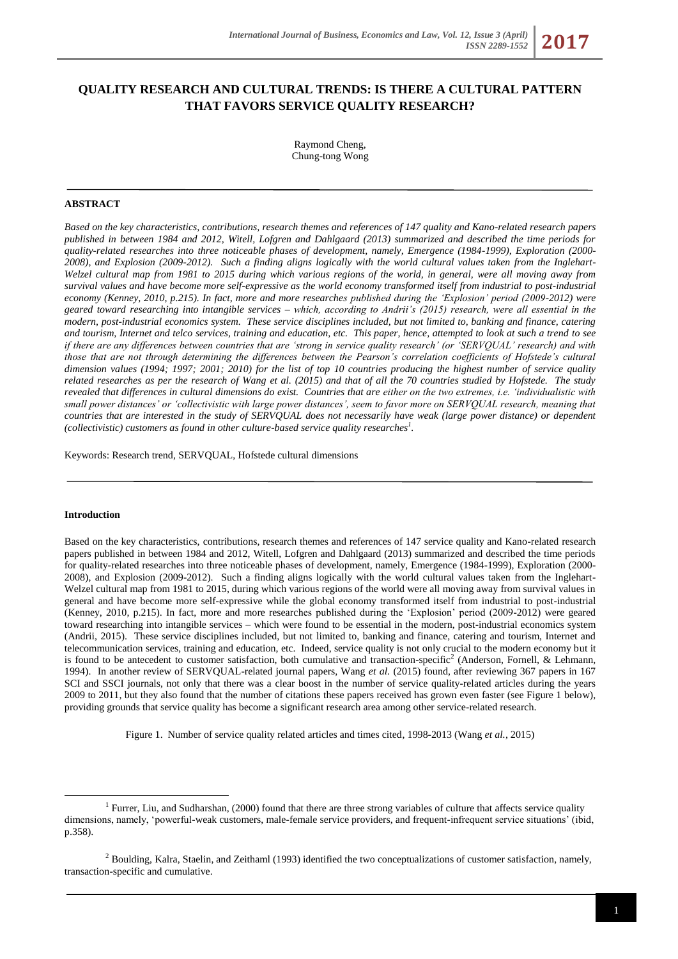# **QUALITY RESEARCH AND CULTURAL TRENDS: IS THERE A CULTURAL PATTERN THAT FAVORS SERVICE QUALITY RESEARCH?**

Raymond Cheng, Chung-tong Wong

## **ABSTRACT**

*Based on the key characteristics, contributions, research themes and references of 147 quality and Kano-related research papers published in between 1984 and 2012, Witell, Lofgren and Dahlgaard (2013) summarized and described the time periods for quality-related researches into three noticeable phases of development, namely, Emergence (1984-1999), Exploration (2000- 2008), and Explosion (2009-2012). Such a finding aligns logically with the world cultural values taken from the Inglehart-Welzel cultural map from 1981 to 2015 during which various regions of the world, in general, were all moving away from survival values and have become more self-expressive as the world economy transformed itself from industrial to post-industrial economy (Kenney, 2010, p.215). In fact, more and more researches published during the 'Explosion' period (2009-2012) were geared toward researching into intangible services – which, according to Andrii's (2015) research, were all essential in the modern, post-industrial economics system. These service disciplines included, but not limited to, banking and finance, catering and tourism, Internet and telco services, training and education, etc. This paper, hence, attempted to look at such a trend to see if there are any differences between countries that are 'strong in service quality research' (or 'SERVQUAL' research) and with those that are not through determining the differences between the Pearson's correlation coefficients of Hofstede's cultural dimension values (1994; 1997; 2001; 2010) for the list of top 10 countries producing the highest number of service quality related researches as per the research of Wang et al. (2015) and that of all the 70 countries studied by Hofstede. The study revealed that differences in cultural dimensions do exist. Countries that are either on the two extremes, i.e. 'individualistic with small power distances' or 'collectivistic with large power distances', seem to favor more on SERVQUAL research, meaning that countries that are interested in the study of SERVQUAL does not necessarily have weak (large power distance) or dependent (collectivistic) customers as found in other culture-based service quality researches<sup>1</sup> .*

Keywords: Research trend, SERVQUAL, Hofstede cultural dimensions

#### **Introduction**

<u>.</u>

Based on the key characteristics, contributions, research themes and references of 147 service quality and Kano-related research papers published in between 1984 and 2012, Witell, Lofgren and Dahlgaard (2013) summarized and described the time periods for quality-related researches into three noticeable phases of development, namely, Emergence (1984-1999), Exploration (2000- 2008), and Explosion (2009-2012). Such a finding aligns logically with the world cultural values taken from the Inglehart-Welzel cultural map from 1981 to 2015, during which various regions of the world were all moving away from survival values in general and have become more self-expressive while the global economy transformed itself from industrial to post-industrial (Kenney, 2010, p.215). In fact, more and more researches published during the 'Explosion' period (2009-2012) were geared toward researching into intangible services – which were found to be essential in the modern, post-industrial economics system (Andrii, 2015). These service disciplines included, but not limited to, banking and finance, catering and tourism, Internet and telecommunication services, training and education, etc. Indeed, service quality is not only crucial to the modern economy but it is found to be antecedent to customer satisfaction, both cumulative and transaction-specific<sup>2</sup> (Anderson, Fornell, & Lehmann, 1994). In another review of SERVQUAL-related journal papers, Wang *et al.* (2015) found, after reviewing 367 papers in 167 SCI and SSCI journals, not only that there was a clear boost in the number of service quality-related articles during the years 2009 to 2011, but they also found that the number of citations these papers received has grown even faster (see Figure 1 below), providing grounds that service quality has become a significant research area among other service-related research.

Figure 1. Number of service quality related articles and times cited, 1998-2013 (Wang *et al.*, 2015)

<sup>&</sup>lt;sup>1</sup> Furrer, Liu, and Sudharshan, (2000) found that there are three strong variables of culture that affects service quality dimensions, namely, 'powerful-weak customers, male-female service providers, and frequent-infrequent service situations' (ibid, p.358).

 $<sup>2</sup>$  Boulding, Kalra, Staelin, and Zeithaml (1993) identified the two conceptualizations of customer satisfaction, namely,</sup> transaction-specific and cumulative.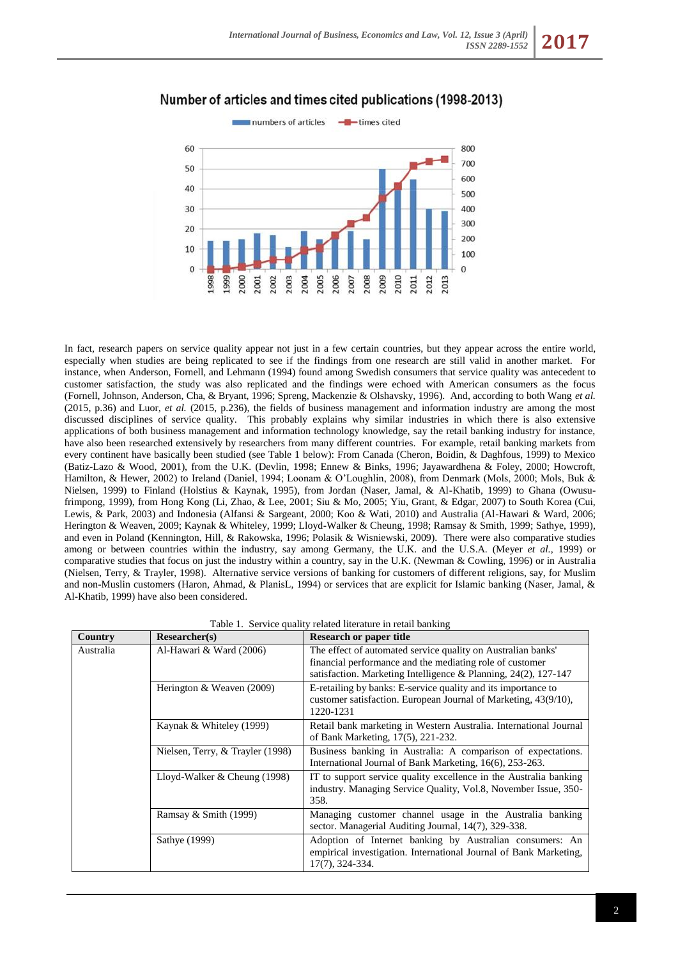

## Number of articles and times cited publications (1998-2013)

In fact, research papers on service quality appear not just in a few certain countries, but they appear across the entire world, especially when studies are being replicated to see if the findings from one research are still valid in another market. For instance, when Anderson, Fornell, and Lehmann (1994) found among Swedish consumers that service quality was antecedent to customer satisfaction, the study was also replicated and the findings were echoed with American consumers as the focus (Fornell, Johnson, Anderson, Cha, & Bryant, 1996; Spreng, Mackenzie & Olshavsky, 1996). And, according to both Wang *et al.* (2015, p.36) and Luor, *et al.* (2015, p.236), the fields of business management and information industry are among the most discussed disciplines of service quality. This probably explains why similar industries in which there is also extensive applications of both business management and information technology knowledge, say the retail banking industry for instance, have also been researched extensively by researchers from many different countries. For example, retail banking markets from every continent have basically been studied (see Table 1 below): From Canada (Cheron, Boidin, & Daghfous, 1999) to Mexico (Batiz-Lazo & Wood, 2001), from the U.K. (Devlin, 1998; Ennew & Binks, 1996; Jayawardhena & Foley, 2000; Howcroft, Hamilton, & Hewer, 2002) to Ireland (Daniel, 1994; Loonam & O'Loughlin, 2008), from Denmark (Mols, 2000; Mols, Buk & Nielsen, 1999) to Finland (Holstius & Kaynak, 1995), from Jordan (Naser, Jamal, & Al-Khatib, 1999) to Ghana (Owusufrimpong, 1999), from Hong Kong (Li, Zhao, & Lee, 2001; Siu & Mo, 2005; Yiu, Grant, & Edgar, 2007) to South Korea (Cui, Lewis, & Park, 2003) and Indonesia (Alfansi & Sargeant, 2000; Koo & Wati, 2010) and Australia (Al-Hawari & Ward, 2006; Herington & Weaven, 2009; Kaynak & Whiteley, 1999; Lloyd-Walker & Cheung, 1998; Ramsay & Smith, 1999; Sathye, 1999), and even in Poland (Kennington, Hill, & Rakowska, 1996; Polasik & Wisniewski, 2009). There were also comparative studies among or between countries within the industry, say among Germany, the U.K. and the U.S.A. (Meyer *et al.*, 1999) or comparative studies that focus on just the industry within a country, say in the U.K. (Newman & Cowling, 1996) or in Australia (Nielsen, Terry, & Trayler, 1998). Alternative service versions of banking for customers of different religions, say, for Muslim and non-Muslin customers (Haron, Ahmad, & PlanisL, 1994) or services that are explicit for Islamic banking (Naser, Jamal, & Al-Khatib, 1999) have also been considered.

|  | Table 1. Service quality related literature in retail banking |  |  |  |  |  |  |
|--|---------------------------------------------------------------|--|--|--|--|--|--|
|--|---------------------------------------------------------------|--|--|--|--|--|--|

| Country   | Researcher(s)                    | <b>Research or paper title</b>                                                                                                                                                                 |  |  |  |  |
|-----------|----------------------------------|------------------------------------------------------------------------------------------------------------------------------------------------------------------------------------------------|--|--|--|--|
| Australia | Al-Hawari & Ward (2006)          | The effect of automated service quality on Australian banks'<br>financial performance and the mediating role of customer<br>satisfaction. Marketing Intelligence & Planning, $24(2)$ , 127-147 |  |  |  |  |
|           | Herington & Weaven (2009)        | E-retailing by banks: E-service quality and its importance to<br>customer satisfaction. European Journal of Marketing, 43(9/10),<br>1220-1231                                                  |  |  |  |  |
|           | Kaynak & Whiteley (1999)         | Retail bank marketing in Western Australia. International Journal<br>of Bank Marketing, 17(5), 221-232.                                                                                        |  |  |  |  |
|           | Nielsen, Terry, & Trayler (1998) | Business banking in Australia: A comparison of expectations.<br>International Journal of Bank Marketing, 16(6), 253-263.                                                                       |  |  |  |  |
|           | Lloyd-Walker $&$ Cheung (1998)   | IT to support service quality excellence in the Australia banking<br>industry. Managing Service Quality, Vol.8, November Issue, 350-<br>358.                                                   |  |  |  |  |
|           | Ramsay & Smith $(1999)$          | Managing customer channel usage in the Australia banking<br>sector. Managerial Auditing Journal, 14(7), 329-338.                                                                               |  |  |  |  |
|           | Sathye (1999)                    | Adoption of Internet banking by Australian consumers: An<br>empirical investigation. International Journal of Bank Marketing,<br>17(7), 324-334.                                               |  |  |  |  |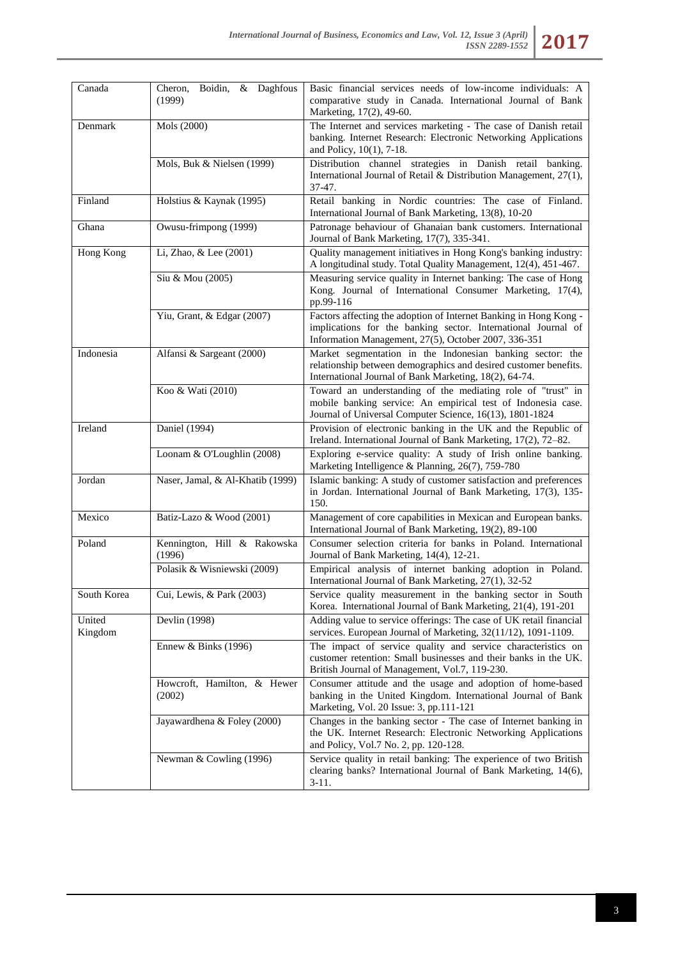| Canada            | & Daghfous<br>Cheron,<br>Boidin,<br>(1999) | Basic financial services needs of low-income individuals: A<br>comparative study in Canada. International Journal of Bank<br>Marketing, 17(2), 49-60.                                      |
|-------------------|--------------------------------------------|--------------------------------------------------------------------------------------------------------------------------------------------------------------------------------------------|
| Denmark           | Mols (2000)                                | The Internet and services marketing - The case of Danish retail<br>banking. Internet Research: Electronic Networking Applications<br>and Policy, 10(1), 7-18.                              |
|                   | Mols, Buk & Nielsen (1999)                 | Distribution channel strategies in Danish retail banking.<br>International Journal of Retail & Distribution Management, 27(1),<br>37-47.                                                   |
| Finland           | Holstius & Kaynak (1995)                   | Retail banking in Nordic countries: The case of Finland.<br>International Journal of Bank Marketing, 13(8), 10-20                                                                          |
| Ghana             | Owusu-frimpong (1999)                      | Patronage behaviour of Ghanaian bank customers. International<br>Journal of Bank Marketing, 17(7), 335-341.                                                                                |
| Hong Kong         | Li, Zhao, & Lee (2001)                     | Quality management initiatives in Hong Kong's banking industry:<br>A longitudinal study. Total Quality Management, 12(4), 451-467.                                                         |
|                   | Siu & Mou (2005)                           | Measuring service quality in Internet banking: The case of Hong<br>Kong. Journal of International Consumer Marketing, 17(4),<br>pp.99-116                                                  |
|                   | Yiu, Grant, & Edgar (2007)                 | Factors affecting the adoption of Internet Banking in Hong Kong -<br>implications for the banking sector. International Journal of<br>Information Management, 27(5), October 2007, 336-351 |
| Indonesia         | Alfansi & Sargeant (2000)                  | Market segmentation in the Indonesian banking sector: the<br>relationship between demographics and desired customer benefits.<br>International Journal of Bank Marketing, 18(2), 64-74.    |
|                   | Koo & Wati (2010)                          | Toward an understanding of the mediating role of "trust" in<br>mobile banking service: An empirical test of Indonesia case.<br>Journal of Universal Computer Science, 16(13), 1801-1824    |
| Ireland           | Daniel (1994)                              | Provision of electronic banking in the UK and the Republic of<br>Ireland. International Journal of Bank Marketing, 17(2), 72-82.                                                           |
|                   | Loonam & O'Loughlin (2008)                 | Exploring e-service quality: A study of Irish online banking.<br>Marketing Intelligence & Planning, 26(7), 759-780                                                                         |
| Jordan            | Naser, Jamal, & Al-Khatib (1999)           | Islamic banking: A study of customer satisfaction and preferences<br>in Jordan. International Journal of Bank Marketing, 17(3), 135-<br>150.                                               |
| Mexico            | Batiz-Lazo & Wood (2001)                   | Management of core capabilities in Mexican and European banks.<br>International Journal of Bank Marketing, 19(2), 89-100                                                                   |
| Poland            | Kennington, Hill & Rakowska<br>(1996)      | Consumer selection criteria for banks in Poland. International<br>Journal of Bank Marketing, 14(4), 12-21.                                                                                 |
|                   | Polasik & Wisniewski (2009)                | Empirical analysis of internet banking adoption in Poland.<br>International Journal of Bank Marketing, 27(1), 32-52                                                                        |
| South Korea       | Cui, Lewis, & Park (2003)                  | Service quality measurement in the banking sector in South<br>Korea. International Journal of Bank Marketing, 21(4), 191-201                                                               |
| United<br>Kingdom | Devlin (1998)                              | Adding value to service offerings: The case of UK retail financial<br>services. European Journal of Marketing, 32(11/12), 1091-1109.                                                       |
|                   | Ennew & Binks (1996)                       | The impact of service quality and service characteristics on<br>customer retention: Small businesses and their banks in the UK.<br>British Journal of Management, Vol.7, 119-230.          |
|                   | Howcroft, Hamilton, & Hewer<br>(2002)      | Consumer attitude and the usage and adoption of home-based<br>banking in the United Kingdom. International Journal of Bank<br>Marketing, Vol. 20 Issue: 3, pp.111-121                      |
|                   | Jayawardhena & Foley (2000)                | Changes in the banking sector - The case of Internet banking in<br>the UK. Internet Research: Electronic Networking Applications<br>and Policy, Vol.7 No. 2, pp. 120-128.                  |
|                   | Newman & Cowling (1996)                    | Service quality in retail banking: The experience of two British<br>clearing banks? International Journal of Bank Marketing, 14(6),<br>$3-11.$                                             |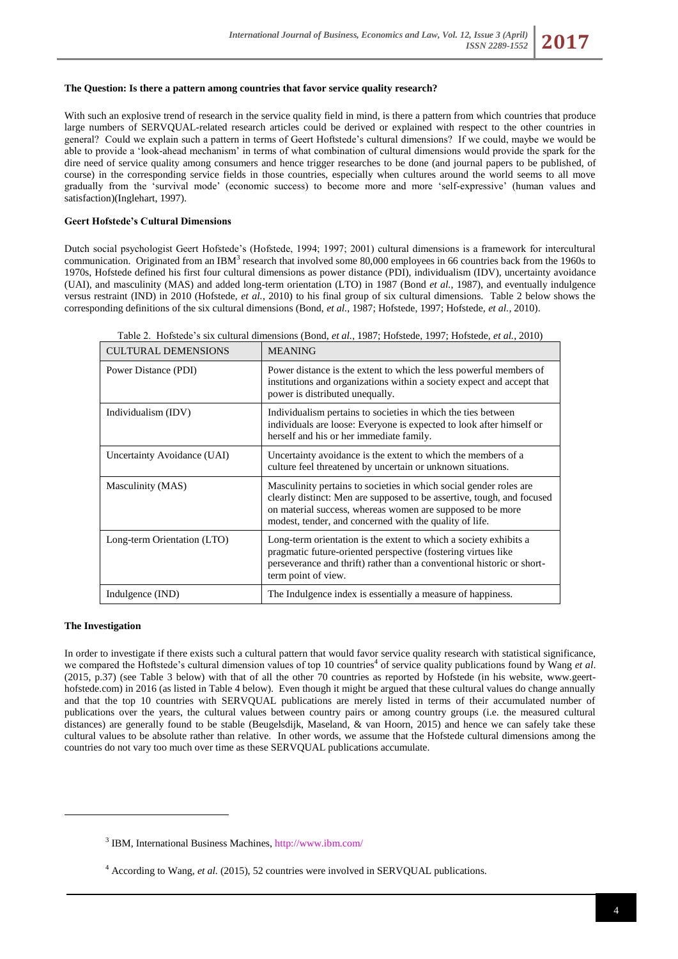## **The Question: Is there a pattern among countries that favor service quality research?**

With such an explosive trend of research in the service quality field in mind, is there a pattern from which countries that produce large numbers of SERVQUAL-related research articles could be derived or explained with respect to the other countries in general? Could we explain such a pattern in terms of Geert Hoftstede's cultural dimensions? If we could, maybe we would be able to provide a 'look-ahead mechanism' in terms of what combination of cultural dimensions would provide the spark for the dire need of service quality among consumers and hence trigger researches to be done (and journal papers to be published, of course) in the corresponding service fields in those countries, especially when cultures around the world seems to all move gradually from the 'survival mode' (economic success) to become more and more 'self-expressive' (human values and satisfaction)(Inglehart, 1997).

## **Geert Hofstede's Cultural Dimensions**

Dutch social psychologist Geert Hofstede's (Hofstede, 1994; 1997; 2001) cultural dimensions is a framework for intercultural communication. Originated from an IBM<sup>3</sup> research that involved some 80,000 employees in 66 countries back from the 1960s to 1970s, Hofstede defined his first four cultural dimensions as power distance (PDI), individualism (IDV), uncertainty avoidance (UAI), and masculinity (MAS) and added long-term orientation (LTO) in 1987 (Bond *et al.*, 1987), and eventually indulgence versus restraint (IND) in 2010 (Hofstede, *et al.*, 2010) to his final group of six cultural dimensions. Table 2 below shows the corresponding definitions of the six cultural dimensions (Bond, *et al.*, 1987; Hofstede, 1997; Hofstede, *et al.*, 2010).

| <b>CULTURAL DEMENSIONS</b>  | <b>MEANING</b>                                                                                                                                                                                                                                                        |
|-----------------------------|-----------------------------------------------------------------------------------------------------------------------------------------------------------------------------------------------------------------------------------------------------------------------|
| Power Distance (PDI)        | Power distance is the extent to which the less powerful members of<br>institutions and organizations within a society expect and accept that<br>power is distributed unequally.                                                                                       |
| Individualism (IDV)         | Individualism pertains to societies in which the ties between<br>individuals are loose: Everyone is expected to look after himself or<br>herself and his or her immediate family.                                                                                     |
| Uncertainty Avoidance (UAI) | Uncertainty avoidance is the extent to which the members of a<br>culture feel threatened by uncertain or unknown situations.                                                                                                                                          |
| Masculinity (MAS)           | Masculinity pertains to societies in which social gender roles are<br>clearly distinct: Men are supposed to be assertive, tough, and focused<br>on material success, whereas women are supposed to be more<br>modest, tender, and concerned with the quality of life. |
| Long-term Orientation (LTO) | Long-term orientation is the extent to which a society exhibits a<br>pragmatic future-oriented perspective (fostering virtues like<br>perseverance and thrift) rather than a conventional historic or short-<br>term point of view.                                   |
| Indulgence (IND)            | The Indulgence index is essentially a measure of happiness.                                                                                                                                                                                                           |

Table 2. Hofstede's six cultural dimensions (Bond, *et al.*, 1987; Hofstede, 1997; Hofstede, *et al.*, 2010)

#### **The Investigation**

1

In order to investigate if there exists such a cultural pattern that would favor service quality research with statistical significance, we compared the Hoftstede's cultural dimension values of top 10 countries<sup>4</sup> of service quality publications found by Wang *et al*. (2015, p.37) (see Table 3 below) with that of all the other 70 countries as reported by Hofstede (in his website, [www.geert](http://www.geert-hofstede.com/)[hofstede.com\)](http://www.geert-hofstede.com/) in 2016 (as listed in Table 4 below). Even though it might be argued that these cultural values do change annually and that the top 10 countries with SERVQUAL publications are merely listed in terms of their accumulated number of publications over the years, the cultural values between country pairs or among country groups (i.e. the measured cultural distances) are generally found to be stable (Beugelsdijk, Maseland, & van Hoorn, 2015) and hence we can safely take these cultural values to be absolute rather than relative. In other words, we assume that the Hofstede cultural dimensions among the countries do not vary too much over time as these SERVQUAL publications accumulate.

<sup>3</sup> IBM, International Business Machines[, http://www.ibm.com/](http://www.ibm.com/)

<sup>4</sup> According to Wang, *et al.* (2015), 52 countries were involved in SERVQUAL publications.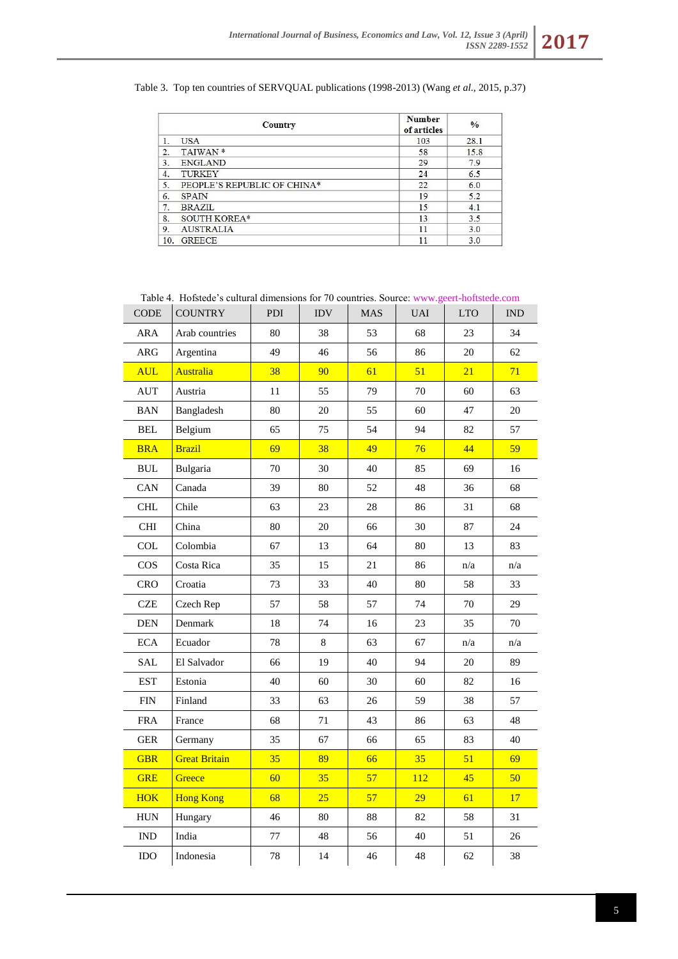Table 3. Top ten countries of SERVQUAL publications (1998-2013) (Wang *et al.*, 2015, p.37)

|                  | <b>Country</b>              | <b>Number</b><br>of articles | $\frac{0}{0}$ |
|------------------|-----------------------------|------------------------------|---------------|
| 1.               | <b>USA</b>                  | 103                          | 28.1          |
| 2.               | TAIWAN <sup>*</sup>         | 58                           | 15.8          |
| 3.               | <b>ENGLAND</b>              | 29                           | 7.9           |
| $\overline{4}$ . | <b>TURKEY</b>               | 24                           | 6.5           |
| 5.               | PEOPLE'S REPUBLIC OF CHINA* | 22                           | 6.0           |
| 6.               | <b>SPAIN</b>                | 19                           | 5.2           |
| 7.               | <b>BRAZIL</b>               | 15                           | 4.1           |
| 8.               | SOUTH KOREA*                | 13                           | 3.5           |
| 9.               | <b>AUSTRALIA</b>            | 11                           | 3.0           |
| 10.              | <b>GREECE</b>               | 11                           | 3.0           |

| <b>CODE</b>                 | Table 4. Hofstede's cultural dimensions for 70 countries. Source: www.geert-hoftstede.com<br><b>COUNTRY</b> | PDI    | <b>IDV</b> | <b>MAS</b> | <b>UAI</b> | <b>LTO</b> | <b>IND</b> |  |
|-----------------------------|-------------------------------------------------------------------------------------------------------------|--------|------------|------------|------------|------------|------------|--|
| <b>ARA</b>                  | Arab countries                                                                                              | 80     | 38         | 53         | 68         | 23         | 34         |  |
| ARG                         | Argentina                                                                                                   | 49     | 46         | 56         | 86         | 20         | 62         |  |
| <b>AUL</b>                  | <b>Australia</b>                                                                                            | 38     | 90         | 61         | 51         | 21         | 71         |  |
| <b>AUT</b>                  | Austria                                                                                                     | $11\,$ | 55         | 79         | 70         | 60         | 63         |  |
| <b>BAN</b>                  | Bangladesh                                                                                                  | 80     | $20\,$     | 55         | 60         | 47         | 20         |  |
| <b>BEL</b>                  | Belgium                                                                                                     | 65     | 75         | 54         | 94         | 82         | 57         |  |
| <b>BRA</b>                  | <b>Brazil</b>                                                                                               | 69     | 38         | 49         | 76         | 44         | 59         |  |
| $\rm BUL$                   | Bulgaria                                                                                                    | 70     | 30         | 40         | 85         | 69         | 16         |  |
| CAN                         | Canada                                                                                                      | 39     | 80         | 52         | 48         | 36         | 68         |  |
| <b>CHL</b>                  | Chile                                                                                                       | 63     | 23         | $28\,$     | 86         | 31         | 68         |  |
| <b>CHI</b>                  | China                                                                                                       | 80     | 20         | 66         | 30         | 87         | 24         |  |
| <b>COL</b>                  | Colombia                                                                                                    | 67     | 13         | 64         | 80         | 13         | 83         |  |
| $\cos$                      | Costa Rica                                                                                                  | 35     | 15         | 21         | 86         | n/a        | n/a        |  |
| CRO                         | Croatia                                                                                                     | 73     | 33         | 40         | 80         | 58         | 33         |  |
| <b>CZE</b>                  | Czech Rep                                                                                                   | 57     | 58         | 57         | 74         | 70         | 29         |  |
| <b>DEN</b>                  | Denmark                                                                                                     | 18     | 74         | 16         | 23         | 35         | 70         |  |
| <b>ECA</b>                  | Ecuador                                                                                                     | 78     | 8          | 63         | 67         | n/a        | n/a        |  |
| <b>SAL</b>                  | El Salvador                                                                                                 | 66     | 19         | 40         | 94         | 20         | 89         |  |
| <b>EST</b>                  | Estonia                                                                                                     | 40     | 60         | 30         | 60         | 82         | 16         |  |
| ${\rm FIN}$                 | Finland                                                                                                     | 33     | 63         | 26         | 59         | 38         | 57         |  |
| <b>FRA</b>                  | France                                                                                                      | 68     | 71         | 43         | 86         | 63         | 48         |  |
| <b>GER</b>                  | Germany                                                                                                     | 35     | 67         | 66         | 65         | 83         | 40         |  |
| <b>GBR</b>                  | <b>Great Britain</b>                                                                                        | 35     | 89         | 66         | 35         | 51         | 69         |  |
| <b>GRE</b>                  | Greece                                                                                                      | 60     | 35         | 57         | 112        | 45         | 50         |  |
| <b>HOK</b>                  | <b>Hong Kong</b>                                                                                            | 68     | 25         | 57         | 29         | 61         | 17         |  |
| <b>HUN</b>                  | Hungary                                                                                                     | 46     | 80         | 88         | 82         | 58         | 31         |  |
| $\mathop{\rm IND}\nolimits$ | India                                                                                                       | $77\,$ | 48         | 56         | 40         | 51         | 26         |  |
| $\rm IDO$                   | Indonesia                                                                                                   | 78     | 14         | 46         | 48         | 62         | 38         |  |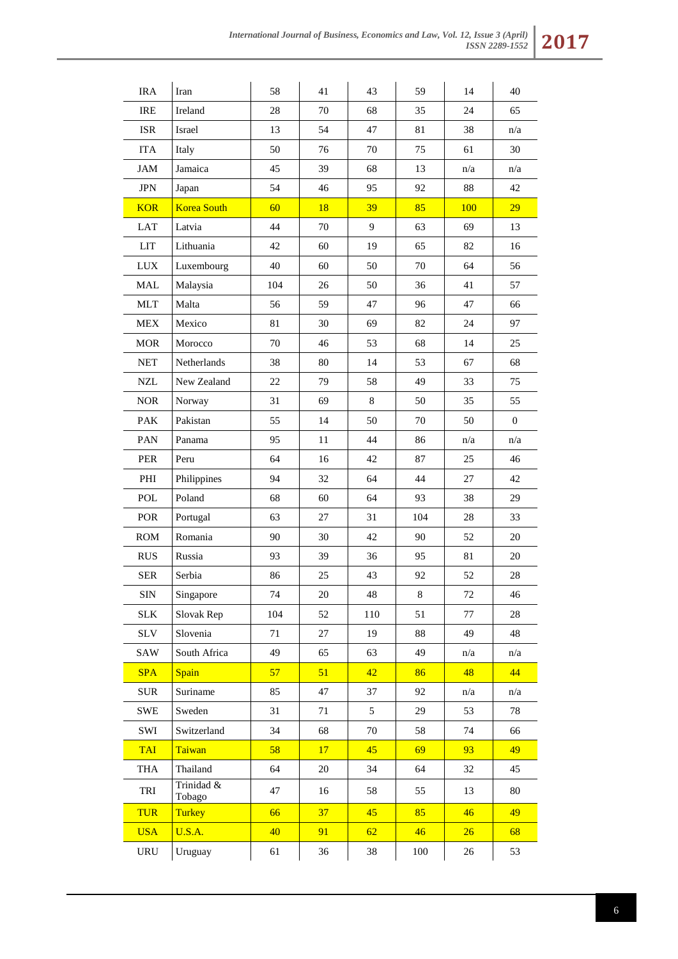| <b>IRA</b>  | Iran                 | 58  | 41     | 43  | 59  | 14     | 40                      |
|-------------|----------------------|-----|--------|-----|-----|--------|-------------------------|
| <b>IRE</b>  | Ireland              | 28  | 70     | 68  | 35  | 24     | 65                      |
| <b>ISR</b>  | Israel               | 13  | 54     | 47  | 81  | 38     | $\mathrm{n}/\mathrm{a}$ |
| <b>ITA</b>  | Italy                | 50  | 76     | 70  | 75  | 61     | 30                      |
| <b>JAM</b>  | Jamaica              | 45  | 39     | 68  | 13  | n/a    | n/a                     |
| JPN         | Japan                | 54  | 46     | 95  | 92  | $88\,$ | 42                      |
| <b>KOR</b>  | <b>Korea South</b>   | 60  | 18     | 39  | 85  | 100    | 29                      |
| LAT         | Latvia               | 44  | 70     | 9   | 63  | 69     | 13                      |
| LIT         | Lithuania            | 42  | 60     | 19  | 65  | 82     | 16                      |
| <b>LUX</b>  | Luxembourg           | 40  | 60     | 50  | 70  | 64     | 56                      |
| <b>MAL</b>  | Malaysia             | 104 | 26     | 50  | 36  | 41     | 57                      |
| <b>MLT</b>  | Malta                | 56  | 59     | 47  | 96  | 47     | 66                      |
| <b>MEX</b>  | Mexico               | 81  | 30     | 69  | 82  | 24     | 97                      |
| <b>MOR</b>  | Morocco              | 70  | 46     | 53  | 68  | 14     | 25                      |
| <b>NET</b>  | Netherlands          | 38  | 80     | 14  | 53  | 67     | 68                      |
| <b>NZL</b>  | New Zealand          | 22  | 79     | 58  | 49  | 33     | 75                      |
| <b>NOR</b>  | Norway               | 31  | 69     | 8   | 50  | 35     | 55                      |
| PAK         | Pakistan             | 55  | 14     | 50  | 70  | 50     | $\boldsymbol{0}$        |
| PAN         | Panama               | 95  | 11     | 44  | 86  | n/a    | n/a                     |
| PER         | Peru                 | 64  | 16     | 42  | 87  | 25     | 46                      |
| PHI         | Philippines          | 94  | 32     | 64  | 44  | 27     | 42                      |
| POL         | Poland               | 68  | 60     | 64  | 93  | 38     | 29                      |
| POR         | Portugal             | 63  | 27     | 31  | 104 | 28     | 33                      |
| <b>ROM</b>  | Romania              | 90  | 30     | 42  | 90  | 52     | 20                      |
| <b>RUS</b>  | Russia               | 93  | 39     | 36  | 95  | 81     | 20                      |
| <b>SER</b>  | Serbia               | 86  | 25     | 43  | 92  | 52     | 28                      |
| <b>SIN</b>  | Singapore            | 74  | 20     | 48  | 8   | 72     | 46                      |
| <b>SLK</b>  | Slovak Rep           | 104 | 52     | 110 | 51  | 77     | 28                      |
| <b>SLV</b>  | Slovenia             | 71  | 27     | 19  | 88  | 49     | 48                      |
| SAW         | South Africa         | 49  | 65     | 63  | 49  | n/a    | n/a                     |
| <b>SPA</b>  | <b>Spain</b>         | 57  | 51     | 42  | 86  | 48     | 44                      |
| ${\rm SUR}$ | Suriname             | 85  | 47     | 37  | 92  | n/a    | n/a                     |
| <b>SWE</b>  | Sweden               | 31  | 71     | 5   | 29  | 53     | 78                      |
| SWI         | Switzerland          | 34  | 68     | 70  | 58  | 74     | 66                      |
| <b>TAI</b>  | Taiwan               | 58  | 17     | 45  | 69  | 93     | 49                      |
| <b>THA</b>  | Thailand             | 64  | $20\,$ | 34  | 64  | 32     | 45                      |
| TRI         | Trinidad &<br>Tobago | 47  | 16     | 58  | 55  | 13     | $80\,$                  |
| <b>TUR</b>  | <b>Turkey</b>        | 66  | 37     | 45  | 85  | 46     | 49                      |
| <b>USA</b>  | <b>U.S.A.</b>        | 40  | 91     | 62  | 46  | 26     | 68                      |
| URU         | Uruguay              | 61  | 36     | 38  | 100 | 26     | 53                      |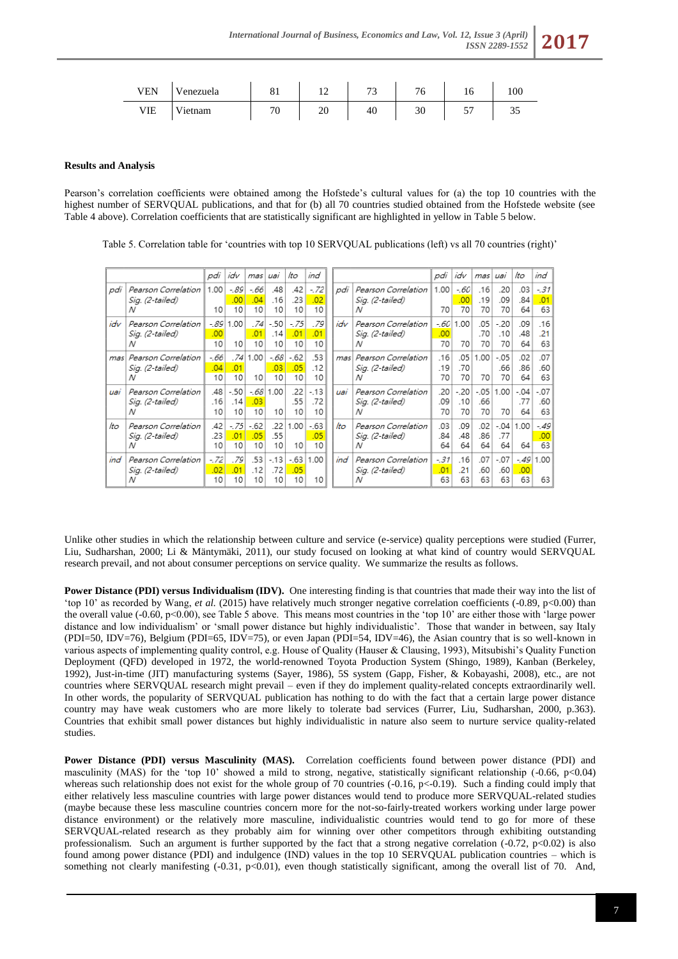| VEN | 'enezuela             | UІ                       | $\sim$<br>-- | $\overline{ }$<br>. . | 76 | ' G     | 100 |
|-----|-----------------------|--------------------------|--------------|-----------------------|----|---------|-----|
| VIE | <b>TT.</b><br>'ietnam | $\overline{\phantom{a}}$ | ZU           | 40                    | 30 | ΕП<br>◡ | ັບ  |

## **Results and Analysis**

Pearson's correlation coefficients were obtained among the Hofstede's cultural values for (a) the top 10 countries with the highest number of SERVOUAL publications, and that for (b) all 70 countries studied obtained from the Hofstede website (see Table 4 above). Correlation coefficients that are statistically significant are highlighted in yellow in Table 5 below.

Table 5. Correlation table for 'countries with top 10 SERVOUAL publications (left) vs all 70 countries (right)'

|     |                                             | pdi                 | idv                | mas l              | uai                 | lto                | ind                |     |                                             | pdi                | idv                | mas                  | uai                 | lto                  | ind                |
|-----|---------------------------------------------|---------------------|--------------------|--------------------|---------------------|--------------------|--------------------|-----|---------------------------------------------|--------------------|--------------------|----------------------|---------------------|----------------------|--------------------|
| pdi | Pearson Correlation<br>Sia. (2-tailed)<br>Ν | 1.00<br>10          | -.89<br>.00<br>10  | -.66<br>.04<br>10  | .48<br>.16<br>10    | .42<br>.23<br>10   | $-72$<br>.02<br>10 | pdi | Pearson Correlation<br>Sia. (2-tailed)<br>Ν | 1.00<br>70         | -.60<br>.00<br>70  | .16<br>.19<br>70     | .20<br>.09<br>70    | .03<br>.84<br>64     | $-31$<br>.01<br>63 |
| idv | Pearson Correlation<br>Sig. (2-tailed)<br>Ν | -.89  <br>.00<br>10 | 1.00<br>10         | .74<br>.01<br>10   | $-.50$<br>.14<br>10 | $-75$<br>.01<br>10 | .79<br>.01<br>10   | idv | Pearson Correlation<br>Sig. (2-tailed)<br>Ν | -.60<br>.00<br>70  | 1.00<br>70         | .05<br>.70<br>70     | $-20$<br>.10<br>70  | .09<br>.48<br>64     | .16<br>.21<br>63   |
| mas | Pearson Correlation<br>Sig. (2-tailed)<br>Ν | -.66<br>.04<br>10   | .74<br>.01<br>10   | 1.00<br>10         | -.68<br>.03<br>10   | $-62$<br>.05<br>10 | .53<br>.12<br>10   | mas | Pearson Correlation<br>Sig. (2-tailed)<br>Ν | .16<br>.19<br>70   | .05<br>.70<br>70   | 1.00<br>70           | $-.05$<br>.66<br>70 | .02<br>.86<br>64     | .07<br>.60<br>63   |
| uai | Pearson Correlation<br>Sia. (2-tailed)<br>Ν | .48<br>.16<br>10    | $-50$<br>.14<br>10 | - 681<br>.03<br>10 | 1.00<br>10          | .22<br>.55<br>10   | $-13$<br>.72<br>10 | uai | Pearson Correlation<br>Sia. (2-tailed)<br>Ν | .20<br>.09<br>70   | $-20$<br>.10<br>70 | $-0.05$<br>.66<br>70 | 1.00<br>70          | $-.04$<br>.77<br>64  | $-07$<br>.60<br>63 |
| lto | Pearson Correlation<br>Sig. (2-tailed)<br>Ν | .42<br>.23<br>10    | $-75$<br>.01<br>10 | $-62$<br>.05<br>10 | .22<br>.55<br>10    | 1.00<br>10         | $-63$<br>.05<br>10 | lto | Pearson Correlation<br>Sig. (2-tailed)<br>Ν | .03<br>.84<br>64   | .09<br>.48<br>64   | .02<br>.86<br>64     | .77<br>64           | $-0.04$   1.00<br>64 | $-49$<br>.00<br>63 |
| ind | Pearson Correlation<br>Sig. (2-tailed)<br>Ν | -.72<br>.02<br>10   | .79<br>.01<br>10   | .53<br>.12<br>10   | $-13$<br>.72<br>10  | -.63<br>.05<br>10  | 1.00<br>10         | ind | Pearson Correlation<br>Sig. (2-tailed)<br>Ν | $-31$<br>.01<br>63 | .16<br>.21<br>63   | .07<br>.60<br>63     | $-.07$<br>.60<br>63 | .00.<br>63           | $-49$ 1.00<br>63   |

Unlike other studies in which the relationship between culture and service (e-service) quality perceptions were studied (Furrer, Liu, Sudharshan, 2000; Li & Mäntymäki, 2011), our study focused on looking at what kind of country would SERVQUAL research prevail, and not about consumer perceptions on service quality. We summarize the results as follows.

**Power Distance (PDI) versus Individualism (IDV).** One interesting finding is that countries that made their way into the list of 'top 10' as recorded by Wang, *et al.* (2015) have relatively much stronger negative correlation coefficients (-0.89, p<0.00) than the overall value (-0.60, p<0.00), see Table 5 above. This means most countries in the 'top 10' are either those with 'large power distance and low individualism' or 'small power distance but highly individualistic'. Those that wander in between, say Italy (PDI=50, IDV=76), Belgium (PDI=65, IDV=75), or even Japan (PDI=54, IDV=46), the Asian country that is so well-known in various aspects of implementing quality control, e.g. House of Quality (Hauser & Clausing, 1993), Mitsubishi's Quality Function Deployment (QFD) developed in 1972, the world-renowned Toyota Production System (Shingo, 1989), Kanban (Berkeley, 1992), Just-in-time (JIT) manufacturing systems (Sayer, 1986), 5S system (Gapp, Fisher, & Kobayashi, 2008), etc., are not countries where SERVQUAL research might prevail – even if they do implement quality-related concepts extraordinarily well. In other words, the popularity of SERVQUAL publication has nothing to do with the fact that a certain large power distance country may have weak customers who are more likely to tolerate bad services (Furrer, Liu, Sudharshan, 2000, p.363). Countries that exhibit small power distances but highly individualistic in nature also seem to nurture service quality-related studies.

**Power Distance (PDI) versus Masculinity (MAS).** Correlation coefficients found between power distance (PDI) and masculinity (MAS) for the 'top 10' showed a mild to strong, negative, statistically significant relationship  $(-0.66, p<0.04)$ whereas such relationship does not exist for the whole group of 70 countries (-0.16, p<-0.19). Such a finding could imply that either relatively less masculine countries with large power distances would tend to produce more SERVQUAL-related studies (maybe because these less masculine countries concern more for the not-so-fairly-treated workers working under large power distance environment) or the relatively more masculine, individualistic countries would tend to go for more of these SERVQUAL-related research as they probably aim for winning over other competitors through exhibiting outstanding professionalism. Such an argument is further supported by the fact that a strong negative correlation  $(-0.72, p<0.02)$  is also found among power distance (PDI) and indulgence (IND) values in the top 10 SERVQUAL publication countries – which is something not clearly manifesting  $(-0.31, p<0.01)$ , even though statistically significant, among the overall list of 70. And,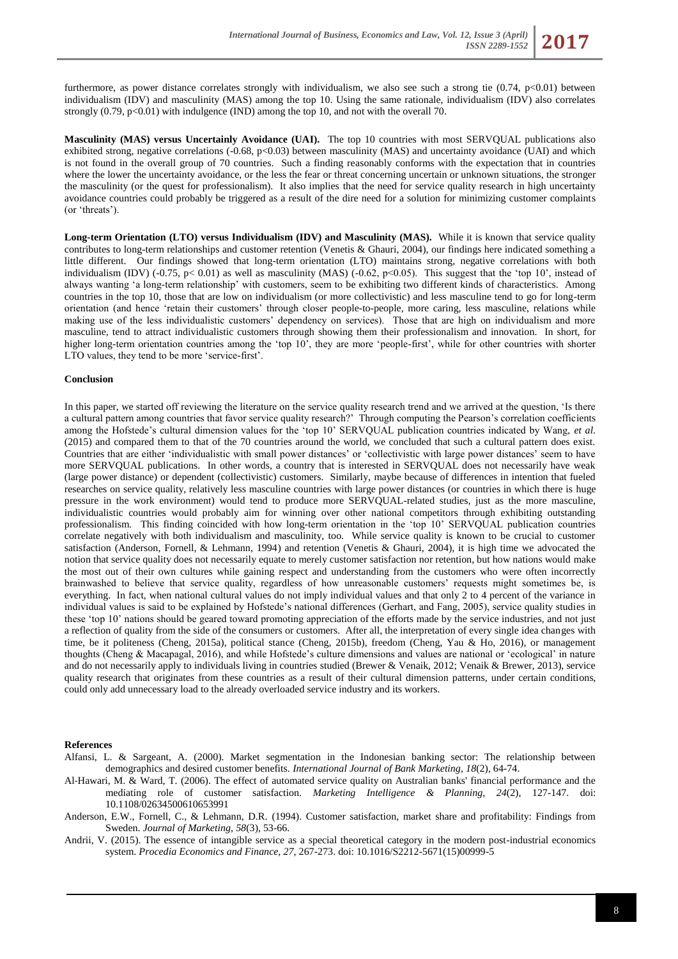furthermore, as power distance correlates strongly with individualism, we also see such a strong tie  $(0.74, p<0.01)$  between individualism (IDV) and masculinity (MAS) among the top 10. Using the same rationale, individualism (IDV) also correlates strongly  $(0.79, p<0.01)$  with indulgence (IND) among the top 10, and not with the overall 70.

**Masculinity (MAS) versus Uncertainly Avoidance (UAI).** The top 10 countries with most SERVQUAL publications also exhibited strong, negative correlations (-0.68, p<0.03) between masculinity (MAS) and uncertainty avoidance (UAI) and which is not found in the overall group of 70 countries. Such a finding reasonably conforms with the expectation that in countries where the lower the uncertainty avoidance, or the less the fear or threat concerning uncertain or unknown situations, the stronger the masculinity (or the quest for professionalism). It also implies that the need for service quality research in high uncertainty avoidance countries could probably be triggered as a result of the dire need for a solution for minimizing customer complaints (or 'threats').

**Long-term Orientation (LTO) versus Individualism (IDV) and Masculinity (MAS).** While it is known that service quality contributes to long-term relationships and customer retention (Venetis & Ghauri, 2004), our findings here indicated something a little different. Our findings showed that long-term orientation (LTO) maintains strong, negative correlations with both individualism (IDV) (-0.75, p< 0.01) as well as masculinity (MAS) (-0.62, p<0.05). This suggest that the 'top 10', instead of always wanting 'a long-term relationship' with customers, seem to be exhibiting two different kinds of characteristics. Among countries in the top 10, those that are low on individualism (or more collectivistic) and less masculine tend to go for long-term orientation (and hence 'retain their customers' through closer people-to-people, more caring, less masculine, relations while making use of the less individualistic customers' dependency on services). Those that are high on individualism and more masculine, tend to attract individualistic customers through showing them their professionalism and innovation. In short, for higher long-term orientation countries among the 'top 10', they are more 'people-first', while for other countries with shorter LTO values, they tend to be more 'service-first'.

#### **Conclusion**

In this paper, we started off reviewing the literature on the service quality research trend and we arrived at the question, 'Is there a cultural pattern among countries that favor service quality research?' Through computing the Pearson's correlation coefficients among the Hofstede's cultural dimension values for the 'top 10' SERVQUAL publication countries indicated by Wang, *et al.* (2015) and compared them to that of the 70 countries around the world, we concluded that such a cultural pattern does exist. Countries that are either 'individualistic with small power distances' or 'collectivistic with large power distances' seem to have more SERVQUAL publications. In other words, a country that is interested in SERVQUAL does not necessarily have weak (large power distance) or dependent (collectivistic) customers. Similarly, maybe because of differences in intention that fueled researches on service quality, relatively less masculine countries with large power distances (or countries in which there is huge pressure in the work environment) would tend to produce more SERVQUAL-related studies, just as the more masculine, individualistic countries would probably aim for winning over other national competitors through exhibiting outstanding professionalism. This finding coincided with how long-term orientation in the 'top 10' SERVQUAL publication countries correlate negatively with both individualism and masculinity, too. While service quality is known to be crucial to customer satisfaction (Anderson, Fornell, & Lehmann, 1994) and retention (Venetis & Ghauri, 2004), it is high time we advocated the notion that service quality does not necessarily equate to merely customer satisfaction nor retention, but how nations would make the most out of their own cultures while gaining respect and understanding from the customers who were often incorrectly brainwashed to believe that service quality, regardless of how unreasonable customers' requests might sometimes be, is everything. In fact, when national cultural values do not imply individual values and that only 2 to 4 percent of the variance in individual values is said to be explained by Hofstede's national differences (Gerhart, and Fang, 2005), service quality studies in these 'top 10' nations should be geared toward promoting appreciation of the efforts made by the service industries, and not just a reflection of quality from the side of the consumers or customers. After all, the interpretation of every single idea changes with time, be it politeness (Cheng, 2015a), political stance (Cheng, 2015b), freedom (Cheng, Yau & Ho, 2016), or management thoughts (Cheng & Macapagal, 2016), and while Hofstede's culture dimensions and values are national or 'ecological' in nature and do not necessarily apply to individuals living in countries studied (Brewer & Venaik, 2012; Venaik & Brewer, 2013), service quality research that originates from these countries as a result of their cultural dimension patterns, under certain conditions, could only add unnecessary load to the already overloaded service industry and its workers.

#### **References**

- Alfansi, L. & Sargeant, A. (2000). Market segmentation in the Indonesian banking sector: The relationship between demographics and desired customer benefits. *International Journal of Bank Marketing, 18*(2), 64-74.
- Al-Hawari, M. & Ward, T. (2006). The effect of automated service quality on Australian banks' financial performance and the mediating role of customer satisfaction. *Marketing Intelligence & Planning, 24*(2), 127-147. doi: 10.1108/02634500610653991
- Anderson, E.W., Fornell, C., & Lehmann, D.R. (1994). Customer satisfaction, market share and profitability: Findings from Sweden. *Journal of Marketing, 58*(3), 53-66.
- Andrii, V. (2015). The essence of intangible service as a special theoretical category in the modern post-industrial economics system. *Procedia Economics and Finance, 27,* 267-273. doi: 10.1016/S2212-5671(15)00999-5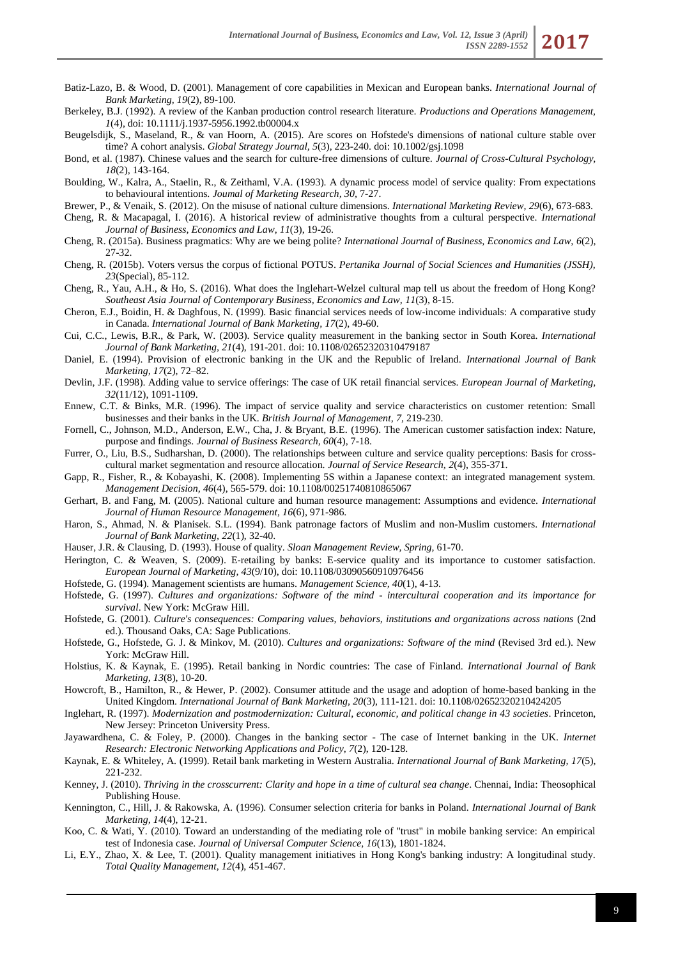- Batiz-Lazo, B. & Wood, D. (2001). Management of core capabilities in Mexican and European banks. *International Journal of Bank Marketing, 19*(2), 89-100.
- Berkeley, B.J. (1992). A review of the Kanban production control research literature. *Productions and Operations Management, 1*(4), doi: 10.1111/j.1937-5956.1992.tb00004.x
- Beugelsdijk, S., Maseland, R., & van Hoorn, A. (2015). Are scores on Hofstede's dimensions of national culture stable over time? A cohort analysis. *Global Strategy Journal, 5*(3), 223-240. doi: 10.1002/gsj.1098
- Bond, et al. (1987). Chinese values and the search for culture-free dimensions of culture. *Journal of Cross-Cultural Psychology, 18*(2), 143-164.
- Boulding, W., Kalra, A., Staelin, R., & Zeithaml, V.A. (1993). A dynamic process model of service quality: From expectations to behavioural intentions. *Joumal of Marketing Research, 30,* 7-27.
- Brewer, P., & Venaik, S. (2012). On the misuse of national culture dimensions. *International Marketing Review, 29*(6), 673-683.
- Cheng, R. & Macapagal, I. (2016). A historical review of administrative thoughts from a cultural perspective. *International Journal of Business, Economics and Law, 11*(3), 19-26.
- Cheng, R. (2015a). Business pragmatics: Why are we being polite? *International Journal of Business, Economics and Law, 6*(2), 27-32.
- Cheng, R. (2015b). Voters versus the corpus of fictional POTUS. *Pertanika Journal of Social Sciences and Humanities (JSSH), 23*(Special), 85-112.
- Cheng, R., Yau, A.H., & Ho, S. (2016). What does the Inglehart-Welzel cultural map tell us about the freedom of Hong Kong? *Southeast Asia Journal of Contemporary Business, Economics and Law, 11*(3), 8-15.
- Cheron, E.J., Boidin, H. & Daghfous, N. (1999). Basic financial services needs of low-income individuals: A comparative study in Canada. *International Journal of Bank Marketing, 17*(2), 49-60.
- Cui, C.C., Lewis, B.R., & Park, W. (2003). Service quality measurement in the banking sector in South Korea. *International Journal of Bank Marketing, 21*(4), 191-201. doi: 10.1108/02652320310479187
- Daniel, E. (1994). Provision of electronic banking in the UK and the Republic of Ireland. *International Journal of Bank Marketing, 17*(2), 72–82.
- Devlin, J.F. (1998). Adding value to service offerings: The case of UK retail financial services. *European Journal of Marketing, 32*(11/12), 1091-1109.
- Ennew, C.T. & Binks, M.R. (1996). The impact of service quality and service characteristics on customer retention: Small businesses and their banks in the UK. *British Journal of Management, 7,* 219-230.
- Fornell, C., Johnson, M.D., Anderson, E.W., Cha, J. & Bryant, B.E. (1996). The American customer satisfaction index: Nature, purpose and findings. *Journal of Business Research, 60*(4), 7-18.
- Furrer, O., Liu, B.S., Sudharshan, D. (2000). The relationships between culture and service quality perceptions: Basis for crosscultural market segmentation and resource allocation. *Journal of Service Research, 2*(4), 355-371.
- Gapp, R., Fisher, R., & Kobayashi, K. (2008). Implementing 5S within a Japanese context: an integrated management system. *Management Decision, 46*(4), 565-579. doi: 10.1108/00251740810865067
- Gerhart, B. and Fang, M. (2005). National culture and human resource management: Assumptions and evidence. *International Journal of Human Resource Management, 16*(6), 971-986.
- Haron, S., Ahmad, N. & Planisek. S.L. (1994). Bank patronage factors of Muslim and non-Muslim customers. *International Journal of Bank Marketing, 22*(1), 32-40.
- Hauser, J.R. & Clausing, D. (1993). House of quality. *Sloan Management Review, Spring,* 61-70.
- Herington, C. & Weaven, S. (2009). E-retailing by banks: E-service quality and its importance to customer satisfaction. *European Journal of Marketing, 43*(9/10), doi: 10.1108/03090560910976456
- Hofstede, G. (1994). Management scientists are humans. *Management Science, 40*(1), 4-13.
- Hofstede, G. (1997). *Cultures and organizations: Software of the mind - intercultural cooperation and its importance for survival*. New York: McGraw Hill.
- Hofstede, G. (2001). *Culture's consequences: Comparing values, behaviors, institutions and organizations across nations* (2nd ed.). Thousand Oaks, CA: Sage Publications.
- Hofstede, G., Hofstede, G. J. & Minkov, M. (2010). *Cultures and organizations: Software of the mind* (Revised 3rd ed.). New York: McGraw Hill.
- Holstius, K. & Kaynak, E. (1995). Retail banking in Nordic countries: The case of Finland. *International Journal of Bank Marketing, 13*(8), 10-20.
- Howcroft, B., Hamilton, R., & Hewer, P. (2002). Consumer attitude and the usage and adoption of home-based banking in the United Kingdom. *International Journal of Bank Marketing, 20*(3), 111-121. doi: 10.1108/02652320210424205
- Inglehart, R. (1997). *Modernization and postmodernization: Cultural, economic, and political change in 43 societies*. Princeton, New Jersey: Princeton University Press.
- Jayawardhena, C. & Foley, P. (2000). Changes in the banking sector The case of Internet banking in the UK. *Internet Research: Electronic Networking Applications and Policy, 7*(2), 120-128.
- Kaynak, E. & Whiteley, A. (1999). Retail bank marketing in Western Australia. *International Journal of Bank Marketing, 17*(5), 221-232.
- Kenney, J. (2010). *Thriving in the crosscurrent: Clarity and hope in a time of cultural sea change*. Chennai, India: Theosophical Publishing House.
- Kennington, C., Hill, J. & Rakowska, A. (1996). Consumer selection criteria for banks in Poland. *International Journal of Bank Marketing, 14*(4), 12-21.
- Koo, C. & Wati, Y. (2010). Toward an understanding of the mediating role of "trust" in mobile banking service: An empirical test of Indonesia case. *Journal of Universal Computer Science, 16*(13), 1801-1824.
- Li, E.Y., Zhao, X. & Lee, T. (2001). Quality management initiatives in Hong Kong's banking industry: A longitudinal study. *Total Quality Management, 12*(4), 451-467.